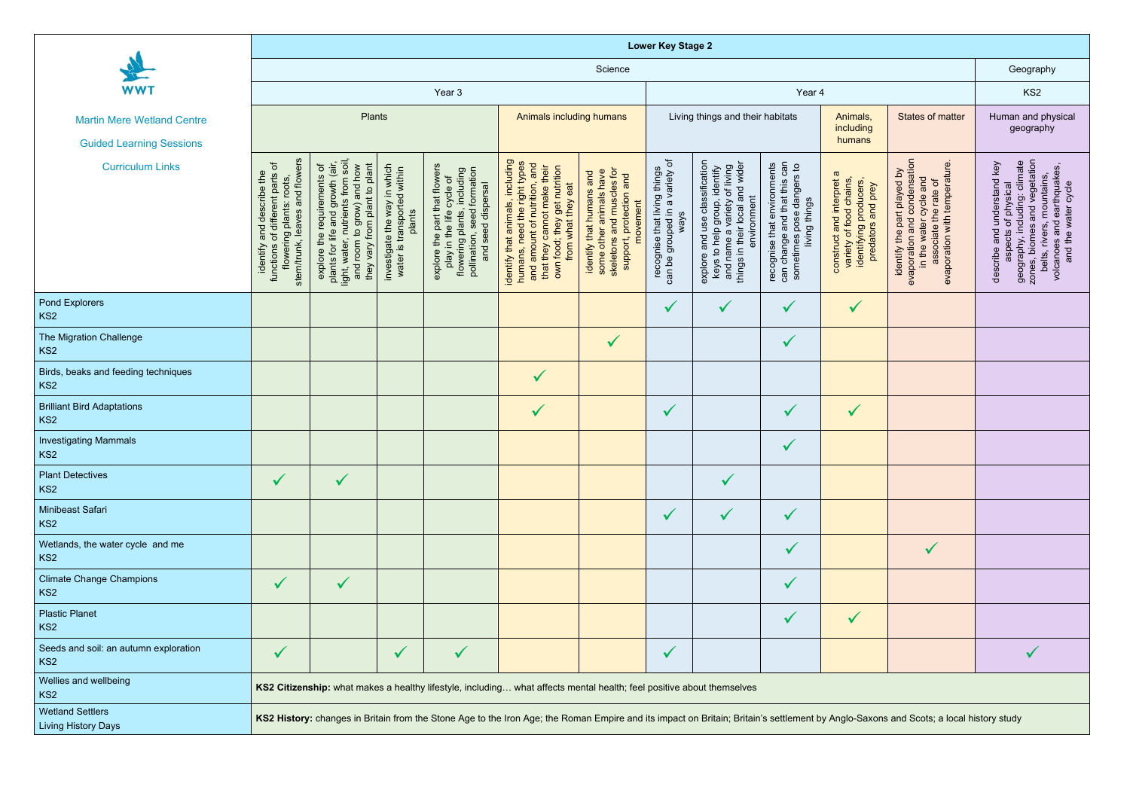|                                                          | <b>Lower Key Stage 2</b>                                                                                                                                                              |                                                                                                                                                                    |                                                                                                |                                                                                                                                                           |                                                                                                                                                                                             |                                                                                                                            |                                                                        |                                                                                                                                                                            |                                                                                                           |                                                                                                            |                                                                                                                                                               |                                                                                                                                                                                                       |
|----------------------------------------------------------|---------------------------------------------------------------------------------------------------------------------------------------------------------------------------------------|--------------------------------------------------------------------------------------------------------------------------------------------------------------------|------------------------------------------------------------------------------------------------|-----------------------------------------------------------------------------------------------------------------------------------------------------------|---------------------------------------------------------------------------------------------------------------------------------------------------------------------------------------------|----------------------------------------------------------------------------------------------------------------------------|------------------------------------------------------------------------|----------------------------------------------------------------------------------------------------------------------------------------------------------------------------|-----------------------------------------------------------------------------------------------------------|------------------------------------------------------------------------------------------------------------|---------------------------------------------------------------------------------------------------------------------------------------------------------------|-------------------------------------------------------------------------------------------------------------------------------------------------------------------------------------------------------|
|                                                          | Science                                                                                                                                                                               |                                                                                                                                                                    |                                                                                                |                                                                                                                                                           |                                                                                                                                                                                             |                                                                                                                            |                                                                        |                                                                                                                                                                            |                                                                                                           | Geography                                                                                                  |                                                                                                                                                               |                                                                                                                                                                                                       |
| <b>WWT</b>                                               | Year 3<br>Year 4                                                                                                                                                                      |                                                                                                                                                                    |                                                                                                |                                                                                                                                                           |                                                                                                                                                                                             |                                                                                                                            |                                                                        |                                                                                                                                                                            | KS <sub>2</sub>                                                                                           |                                                                                                            |                                                                                                                                                               |                                                                                                                                                                                                       |
| <b>Martin Mere Wetland Centre</b>                        | Plants                                                                                                                                                                                |                                                                                                                                                                    |                                                                                                | Animals including humans                                                                                                                                  |                                                                                                                                                                                             | Living things and their habitats                                                                                           |                                                                        |                                                                                                                                                                            | Animals,<br>including                                                                                     | <b>States of matter</b>                                                                                    | Human and physical<br>geography                                                                                                                               |                                                                                                                                                                                                       |
| <b>Guided Learning Sessions</b>                          |                                                                                                                                                                                       |                                                                                                                                                                    |                                                                                                |                                                                                                                                                           |                                                                                                                                                                                             |                                                                                                                            |                                                                        |                                                                                                                                                                            | humans                                                                                                    |                                                                                                            |                                                                                                                                                               |                                                                                                                                                                                                       |
| <b>Curriculum Links</b>                                  | leaves and flowers<br>identify and describe the<br>nctions of different parts of<br>flowering plants: roots,<br>flowering plants:<br>stem/trunk,<br>functions                         | light, water, nutrients from soil,<br>and room to grow) and how<br>they vary from plant to plant<br>plants for life and growth (air<br>explore the requirements of | investigate the way in which<br>water is transported within<br>is transported within<br>plants | part that flowers<br>flowering plants, including<br>pollination, seed formation<br>the life cycle of<br>and seed dispersal<br>explore the I<br>play in th | identify that animals, including<br>humans, need the right types<br>and amount of nutrition, and<br>that they cannot make their<br>own food; they get nutrition<br>eat<br>what they<br>from | some other animals have<br>skeletons and muscles for<br>identify that humans and<br>protection and<br>movement<br>support, | can be grouped in a variety of<br>recognise that living things<br>ways | e classification<br>roup, identify<br>and wider<br>name a variety of living<br>environment<br>explore and use class<br>keys to help group,<br>things in their local<br>and | can change and that this can<br>recognise that environments<br>sometimes pose dangers to<br>living things | σ<br>construct and interpret<br>variety of food chains,<br>identifying producers,<br>and prey<br>predators | evaporation and condensation<br>evaporation with temperature<br>identify the part played by<br>cycle and<br>the rate of<br>associate the rate<br>in the water | aspects of physical<br>geography, including: climate<br>zones, biomes and vegetation<br>describe and understand key<br>belts, rivers, mountains,<br>volcanoes and earthquakes,<br>and the water cycle |
| Pond Explorers<br>KS <sub>2</sub>                        |                                                                                                                                                                                       |                                                                                                                                                                    |                                                                                                |                                                                                                                                                           |                                                                                                                                                                                             |                                                                                                                            | $\checkmark$                                                           | $\checkmark$                                                                                                                                                               | $\checkmark$                                                                                              | $\sqrt{}$                                                                                                  |                                                                                                                                                               |                                                                                                                                                                                                       |
| The Migration Challenge<br>KS <sub>2</sub>               |                                                                                                                                                                                       |                                                                                                                                                                    |                                                                                                |                                                                                                                                                           |                                                                                                                                                                                             | $\checkmark$                                                                                                               |                                                                        |                                                                                                                                                                            | $\checkmark$                                                                                              |                                                                                                            |                                                                                                                                                               |                                                                                                                                                                                                       |
| Birds, beaks and feeding techniques<br>KS <sub>2</sub>   |                                                                                                                                                                                       |                                                                                                                                                                    |                                                                                                |                                                                                                                                                           | $\checkmark$                                                                                                                                                                                |                                                                                                                            |                                                                        |                                                                                                                                                                            |                                                                                                           |                                                                                                            |                                                                                                                                                               |                                                                                                                                                                                                       |
| <b>Brilliant Bird Adaptations</b><br>KS <sub>2</sub>     |                                                                                                                                                                                       |                                                                                                                                                                    |                                                                                                |                                                                                                                                                           | $\sqrt{}$                                                                                                                                                                                   |                                                                                                                            | $\checkmark$                                                           |                                                                                                                                                                            | $\checkmark$                                                                                              | $\checkmark$                                                                                               |                                                                                                                                                               |                                                                                                                                                                                                       |
| <b>Investigating Mammals</b><br>KS <sub>2</sub>          |                                                                                                                                                                                       |                                                                                                                                                                    |                                                                                                |                                                                                                                                                           |                                                                                                                                                                                             |                                                                                                                            |                                                                        |                                                                                                                                                                            | $\checkmark$                                                                                              |                                                                                                            |                                                                                                                                                               |                                                                                                                                                                                                       |
| <b>Plant Detectives</b><br>KS <sub>2</sub>               | $\checkmark$                                                                                                                                                                          | $\checkmark$                                                                                                                                                       |                                                                                                |                                                                                                                                                           |                                                                                                                                                                                             |                                                                                                                            |                                                                        | $\checkmark$                                                                                                                                                               |                                                                                                           |                                                                                                            |                                                                                                                                                               |                                                                                                                                                                                                       |
| Minibeast Safari<br>KS <sub>2</sub>                      |                                                                                                                                                                                       |                                                                                                                                                                    |                                                                                                |                                                                                                                                                           |                                                                                                                                                                                             |                                                                                                                            | $\checkmark$                                                           | $\checkmark$                                                                                                                                                               | $\checkmark$                                                                                              |                                                                                                            |                                                                                                                                                               |                                                                                                                                                                                                       |
| Wetlands, the water cycle and me<br>KS <sub>2</sub>      |                                                                                                                                                                                       |                                                                                                                                                                    |                                                                                                |                                                                                                                                                           |                                                                                                                                                                                             |                                                                                                                            |                                                                        |                                                                                                                                                                            | $\checkmark$                                                                                              |                                                                                                            | $\checkmark$                                                                                                                                                  |                                                                                                                                                                                                       |
| <b>Climate Change Champions</b><br>KS <sub>2</sub>       | $\checkmark$                                                                                                                                                                          | $\checkmark$                                                                                                                                                       |                                                                                                |                                                                                                                                                           |                                                                                                                                                                                             |                                                                                                                            |                                                                        |                                                                                                                                                                            | $\checkmark$                                                                                              |                                                                                                            |                                                                                                                                                               |                                                                                                                                                                                                       |
| <b>Plastic Planet</b><br>KS <sub>2</sub>                 |                                                                                                                                                                                       |                                                                                                                                                                    |                                                                                                |                                                                                                                                                           |                                                                                                                                                                                             |                                                                                                                            |                                                                        |                                                                                                                                                                            | $\checkmark$                                                                                              | $\checkmark$                                                                                               |                                                                                                                                                               |                                                                                                                                                                                                       |
| Seeds and soil: an autumn exploration<br>KS <sub>2</sub> | $\checkmark$                                                                                                                                                                          |                                                                                                                                                                    | $\checkmark$                                                                                   | $\checkmark$                                                                                                                                              |                                                                                                                                                                                             |                                                                                                                            | $\checkmark$                                                           |                                                                                                                                                                            |                                                                                                           |                                                                                                            |                                                                                                                                                               |                                                                                                                                                                                                       |
| Wellies and wellbeing<br>KS <sub>2</sub>                 | KS2 Citizenship: what makes a healthy lifestyle, including what affects mental health; feel positive about themselves                                                                 |                                                                                                                                                                    |                                                                                                |                                                                                                                                                           |                                                                                                                                                                                             |                                                                                                                            |                                                                        |                                                                                                                                                                            |                                                                                                           |                                                                                                            |                                                                                                                                                               |                                                                                                                                                                                                       |
| <b>Wetland Settlers</b><br><b>Living History Days</b>    | KS2 History: changes in Britain from the Stone Age to the Iron Age; the Roman Empire and its impact on Britain; Britain's settlement by Anglo-Saxons and Scots; a local history study |                                                                                                                                                                    |                                                                                                |                                                                                                                                                           |                                                                                                                                                                                             |                                                                                                                            |                                                                        |                                                                                                                                                                            |                                                                                                           |                                                                                                            |                                                                                                                                                               |                                                                                                                                                                                                       |